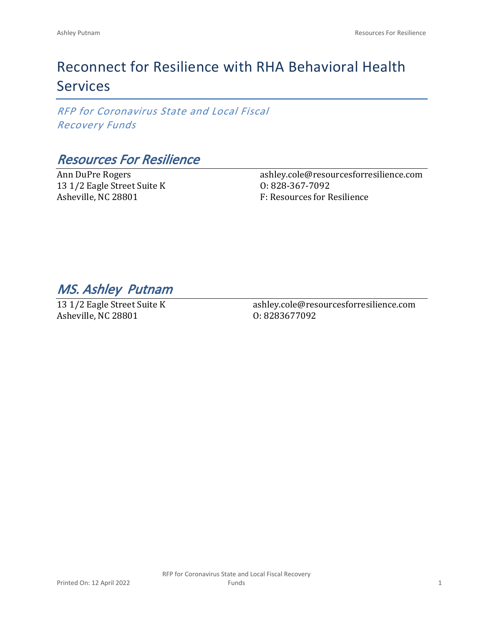# Reconnect for Resilience with RHA Behavioral Health Services

*RFP for Coronavirus State and Local Fiscal Recovery Funds*

### *Resources For Resilience*

Ann DuPre Rogers 13 1/2 Eagle Street Suite K Asheville, NC 28801

ashley.cole@resourcesforresilience.com O: 828-367-7092 F: Resources for Resilience

*MS. Ashley Putnam* 

13 1/2 Eagle Street Suite K Asheville, NC 28801

ashley.cole@resourcesforresilience.com O: 8283677092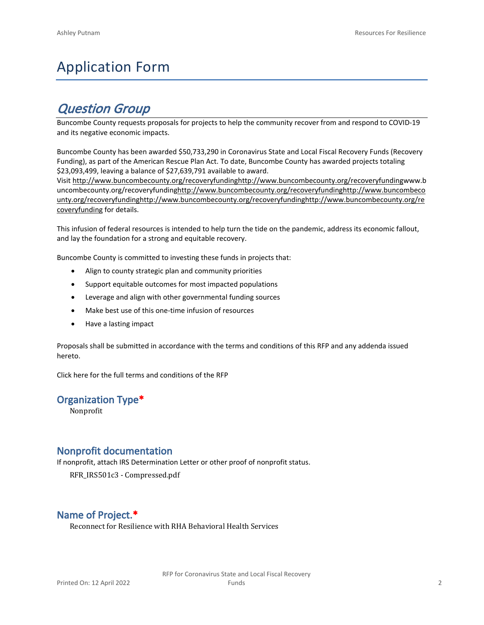# Application Form

## *Question Group*

Buncombe County requests proposals for projects to help the community recover from and respond to COVID-19 and its negative economic impacts.

Buncombe County has been awarded \$50,733,290 in Coronavirus State and Local Fiscal Recovery Funds (Recovery Funding), as part of the American Rescue Plan Act. To date, Buncombe County has awarded projects totaling \$23,093,499, leaving a balance of \$27,639,791 available to award.

Visit [http://www.buncombecounty.org/recoveryfundinghttp://www.buncombecounty.org/recoveryfundingwww.b](http://www.buncombecounty.org/recoveryfunding) [uncombecounty.org/recoveryfundinghttp://www.buncombecounty.org/recoveryfundinghttp://www.buncombeco](http://www.buncombecounty.org/recoveryfunding) [unty.org/recoveryfundinghttp://www.buncombecounty.org/recoveryfundinghttp://www.buncombecounty.org/re](http://www.buncombecounty.org/recoveryfunding) [coveryfunding](http://www.buncombecounty.org/recoveryfunding) for details.

This infusion of federal resources is intended to help turn the tide on the pandemic, address its economic fallout, and lay the foundation for a strong and equitable recovery.

Buncombe County is committed to investing these funds in projects that:

- Align to county strategic plan and community priorities
- Support equitable outcomes for most impacted populations
- Leverage and align with other governmental funding sources
- Make best use of this one-time infusion of resources
- Have a lasting impact

Proposals shall be submitted in accordance with the terms and conditions of this RFP and any addenda issued hereto.

Click [here](https://www.buncombecounty.org/common/purchasing/Buncombe%20Recovery%20Funding%20RFP%202022.pdf) for the full terms and conditions of the RFP

#### **Organization Type\***

Nonprofit

#### **Nonprofit documentation**

If nonprofit, attach IRS Determination Letter or other proof of nonprofit status.

RFR\_IRS501c3 - Compressed.pdf

### **Name of Project.\***

Reconnect for Resilience with RHA Behavioral Health Services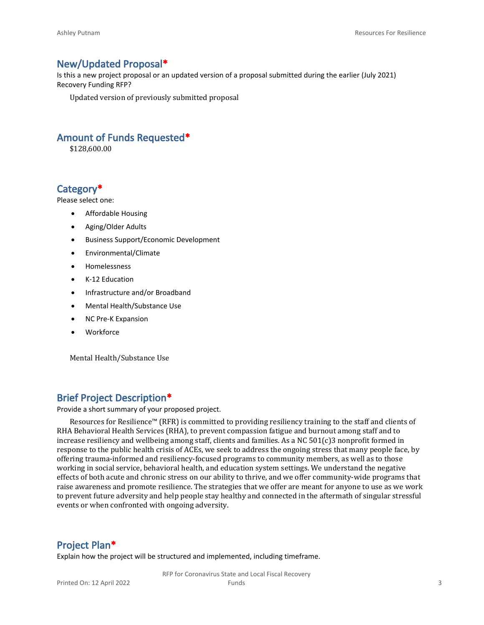#### **New/Updated Proposal\***

Is this a new project proposal or an updated version of a proposal submitted during the earlier (July 2021) Recovery Funding RFP?

Updated version of previously submitted proposal

#### **Amount of Funds Requested\***

\$128,600.00

#### **Category\***

Please select one:

- Affordable Housing
- Aging/Older Adults
- Business Support/Economic Development
- Environmental/Climate
- Homelessness
- K-12 Education
- Infrastructure and/or Broadband
- Mental Health/Substance Use
- NC Pre-K Expansion
- Workforce

Mental Health/Substance Use

#### **Brief Project Description\***

Provide a short summary of your proposed project.

Resources for Resilience™ (RFR) is committed to providing resiliency training to the staff and clients of RHA Behavioral Health Services (RHA), to prevent compassion fatigue and burnout among staff and to increase resiliency and wellbeing among staff, clients and families. As a NC 501(c)3 nonprofit formed in response to the public health crisis of ACEs, we seek to address the ongoing stress that many people face, by offering trauma-informed and resiliency-focused programs to community members, as well as to those working in social service, behavioral health, and education system settings. We understand the negative effects of both acute and chronic stress on our ability to thrive, and we offer community-wide programs that raise awareness and promote resilience. The strategies that we offer are meant for anyone to use as we work to prevent future adversity and help people stay healthy and connected in the aftermath of singular stressful events or when confronted with ongoing adversity.

#### **Project Plan\***

Explain how the project will be structured and implemented, including timeframe.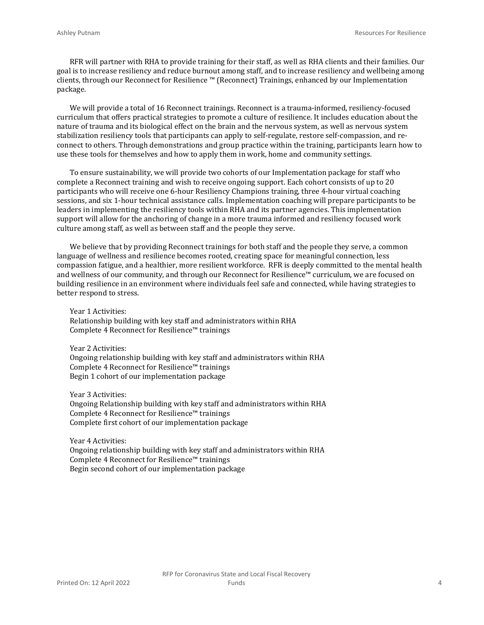RFR will partner with RHA to provide training for their staff, as well as RHA clients and their families. Our goal is to increase resiliency and reduce burnout among staff, and to increase resiliency and wellbeing among clients, through our Reconnect for Resilience ™ (Reconnect) Trainings, enhanced by our Implementation package.

We will provide a total of 16 Reconnect trainings. Reconnect is a trauma-informed, resiliency-focused curriculum that offers practical strategies to promote a culture of resilience. It includes education about the nature of trauma and its biological effect on the brain and the nervous system, as well as nervous system stabilization resiliency tools that participants can apply to self-regulate, restore self-compassion, and reconnect to others. Through demonstrations and group practice within the training, participants learn how to use these tools for themselves and how to apply them in work, home and community settings.

To ensure sustainability, we will provide two cohorts of our Implementation package for staff who complete a Reconnect training and wish to receive ongoing support. Each cohort consists of up to 20 participants who will receive one 6-hour Resiliency Champions training, three 4-hour virtual coaching sessions, and six 1-hour technical assistance calls. Implementation coaching will prepare participants to be leaders in implementing the resiliency tools within RHA and its partner agencies. This implementation support will allow for the anchoring of change in a more trauma informed and resiliency focused work culture among staff, as well as between staff and the people they serve.

We believe that by providing Reconnect trainings for both staff and the people they serve, a common language of wellness and resilience becomes rooted, creating space for meaningful connection, less compassion fatigue, and a healthier, more resilient workforce. RFR is deeply committed to the mental health and wellness of our community, and through our Reconnect for Resilience™ curriculum, we are focused on building resilience in an environment where individuals feel safe and connected, while having strategies to better respond to stress.

Year 1 Activities: Relationship building with key staff and administrators within RHA Complete 4 Reconnect for Resilience™ trainings

Year 2 Activities:

Ongoing relationship building with key staff and administrators within RHA Complete 4 Reconnect for Resilience™ trainings Begin 1 cohort of our implementation package

Year 3 Activities:

Ongoing Relationship building with key staff and administrators within RHA Complete 4 Reconnect for Resilience™ trainings Complete first cohort of our implementation package

Year 4 Activities:

Ongoing relationship building with key staff and administrators within RHA Complete 4 Reconnect for Resilience™ trainings Begin second cohort of our implementation package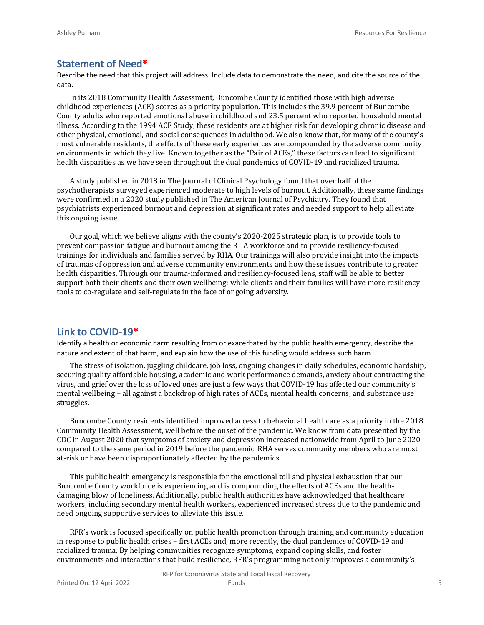#### **Statement of Need\***

Describe the need that this project will address. Include data to demonstrate the need, and cite the source of the data.

In its 2018 Community Health Assessment, Buncombe County identified those with high adverse childhood experiences (ACE) scores as a priority population. This includes the 39.9 percent of Buncombe County adults who reported emotional abuse in childhood and 23.5 percent who reported household mental illness. According to the 1994 ACE Study, these residents are at higher risk for developing chronic disease and other physical, emotional, and social consequences in adulthood. We also know that, for many of the county's most vulnerable residents, the effects of these early experiences are compounded by the adverse community environments in which they live. Known together as the "Pair of ACEs," these factors can lead to significant health disparities as we have seen throughout the dual pandemics of COVID-19 and racialized trauma.

A study published in 2018 in The Journal of Clinical Psychology found that over half of the psychotherapists surveyed experienced moderate to high levels of burnout. Additionally, these same findings were confirmed in a 2020 study published in The American Journal of Psychiatry. They found that psychiatrists experienced burnout and depression at significant rates and needed support to help alleviate this ongoing issue.

Our goal, which we believe aligns with the county's 2020-2025 strategic plan, is to provide tools to prevent compassion fatigue and burnout among the RHA workforce and to provide resiliency-focused trainings for individuals and families served by RHA. Our trainings will also provide insight into the impacts of traumas of oppression and adverse community environments and how these issues contribute to greater health disparities. Through our trauma-informed and resiliency-focused lens, staff will be able to better support both their clients and their own wellbeing; while clients and their families will have more resiliency tools to co-regulate and self-regulate in the face of ongoing adversity.

#### **Link to COVID-19\***

Identify a health or economic harm resulting from or exacerbated by the public health emergency, describe the nature and extent of that harm, and explain how the use of this funding would address such harm.

The stress of isolation, juggling childcare, job loss, ongoing changes in daily schedules, economic hardship, securing quality affordable housing, academic and work performance demands, anxiety about contracting the virus, and grief over the loss of loved ones are just a few ways that COVID-19 has affected our community's mental wellbeing – all against a backdrop of high rates of ACEs, mental health concerns, and substance use struggles.

Buncombe County residents identified improved access to behavioral healthcare as a priority in the 2018 Community Health Assessment, well before the onset of the pandemic. We know from data presented by the CDC in August 2020 that symptoms of anxiety and depression increased nationwide from April to June 2020 compared to the same period in 2019 before the pandemic. RHA serves community members who are most at-risk or have been disproportionately affected by the pandemics.

This public health emergency is responsible for the emotional toll and physical exhaustion that our Buncombe County workforce is experiencing and is compounding the effects of ACEs and the healthdamaging blow of loneliness. Additionally, public health authorities have acknowledged that healthcare workers, including secondary mental health workers, experienced increased stress due to the pandemic and need ongoing supportive services to alleviate this issue.

RFR's work is focused specifically on public health promotion through training and community education in response to public health crises – first ACEs and, more recently, the dual pandemics of COVID-19 and racialized trauma. By helping communities recognize symptoms, expand coping skills, and foster environments and interactions that build resilience, RFR's programming not only improves a community's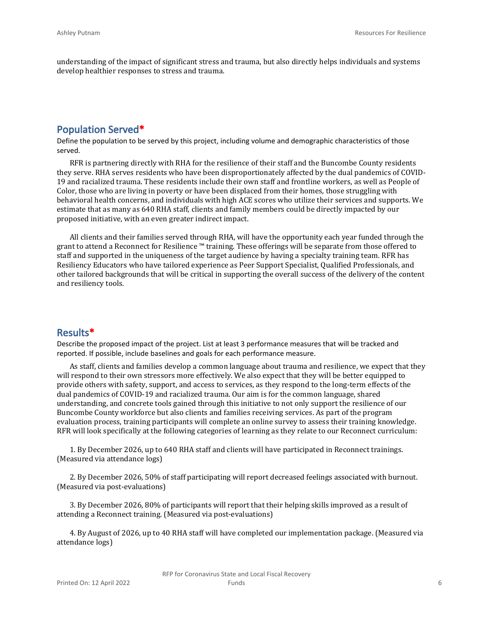understanding of the impact of significant stress and trauma, but also directly helps individuals and systems develop healthier responses to stress and trauma.

#### **Population Served\***

Define the population to be served by this project, including volume and demographic characteristics of those served.

RFR is partnering directly with RHA for the resilience of their staff and the Buncombe County residents they serve. RHA serves residents who have been disproportionately affected by the dual pandemics of COVID-19 and racialized trauma. These residents include their own staff and frontline workers, as well as People of Color, those who are living in poverty or have been displaced from their homes, those struggling with behavioral health concerns, and individuals with high ACE scores who utilize their services and supports. We estimate that as many as 640 RHA staff, clients and family members could be directly impacted by our proposed initiative, with an even greater indirect impact.

All clients and their families served through RHA, will have the opportunity each year funded through the grant to attend a Reconnect for Resilience ™ training. These offerings will be separate from those offered to staff and supported in the uniqueness of the target audience by having a specialty training team. RFR has Resiliency Educators who have tailored experience as Peer Support Specialist, Qualified Professionals, and other tailored backgrounds that will be critical in supporting the overall success of the delivery of the content and resiliency tools.

#### **Results\***

Describe the proposed impact of the project. List at least 3 performance measures that will be tracked and reported. If possible, include baselines and goals for each performance measure.

As staff, clients and families develop a common language about trauma and resilience, we expect that they will respond to their own stressors more effectively. We also expect that they will be better equipped to provide others with safety, support, and access to services, as they respond to the long-term effects of the dual pandemics of COVID-19 and racialized trauma. Our aim is for the common language, shared understanding, and concrete tools gained through this initiative to not only support the resilience of our Buncombe County workforce but also clients and families receiving services. As part of the program evaluation process, training participants will complete an online survey to assess their training knowledge. RFR will look specifically at the following categories of learning as they relate to our Reconnect curriculum:

1. By December 2026, up to 640 RHA staff and clients will have participated in Reconnect trainings. (Measured via attendance logs)

2. By December 2026, 50% of staff participating will report decreased feelings associated with burnout. (Measured via post-evaluations)

3. By December 2026, 80% of participants will report that their helping skills improved as a result of attending a Reconnect training. (Measured via post-evaluations)

4. By August of 2026, up to 40 RHA staff will have completed our implementation package. (Measured via attendance logs)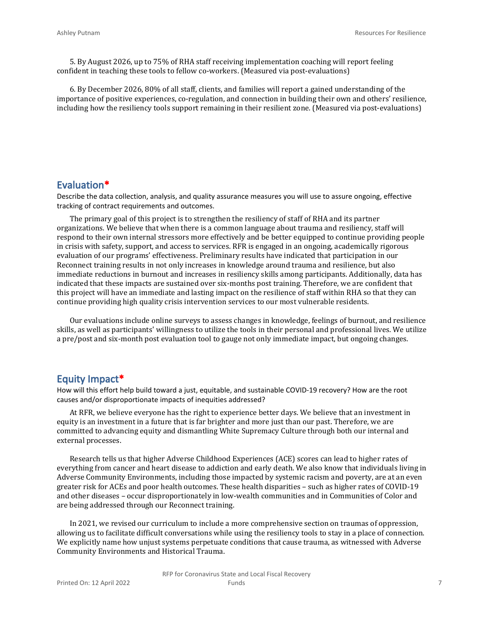5. By August 2026, up to 75% of RHA staff receiving implementation coaching will report feeling confident in teaching these tools to fellow co-workers. (Measured via post-evaluations)

6. By December 2026, 80% of all staff, clients, and families will report a gained understanding of the importance of positive experiences, co-regulation, and connection in building their own and others' resilience, including how the resiliency tools support remaining in their resilient zone. (Measured via post-evaluations)

#### **Evaluation\***

Describe the data collection, analysis, and quality assurance measures you will use to assure ongoing, effective tracking of contract requirements and outcomes.

The primary goal of this project is to strengthen the resiliency of staff of RHA and its partner organizations. We believe that when there is a common language about trauma and resiliency, staff will respond to their own internal stressors more effectively and be better equipped to continue providing people in crisis with safety, support, and access to services. RFR is engaged in an ongoing, academically rigorous evaluation of our programs' effectiveness. Preliminary results have indicated that participation in our Reconnect training results in not only increases in knowledge around trauma and resilience, but also immediate reductions in burnout and increases in resiliency skills among participants. Additionally, data has indicated that these impacts are sustained over six-months post training. Therefore, we are confident that this project will have an immediate and lasting impact on the resilience of staff within RHA so that they can continue providing high quality crisis intervention services to our most vulnerable residents.

Our evaluations include online surveys to assess changes in knowledge, feelings of burnout, and resilience skills, as well as participants' willingness to utilize the tools in their personal and professional lives. We utilize a pre/post and six-month post evaluation tool to gauge not only immediate impact, but ongoing changes.

#### **Equity Impact\***

How will this effort help build toward a just, equitable, and sustainable COVID-19 recovery? How are the root causes and/or disproportionate impacts of inequities addressed?

At RFR, we believe everyone has the right to experience better days. We believe that an investment in equity is an investment in a future that is far brighter and more just than our past. Therefore, we are committed to advancing equity and dismantling White Supremacy Culture through both our internal and external processes.

Research tells us that higher Adverse Childhood Experiences (ACE) scores can lead to higher rates of everything from cancer and heart disease to addiction and early death. We also know that individuals living in Adverse Community Environments, including those impacted by systemic racism and poverty, are at an even greater risk for ACEs and poor health outcomes. These health disparities – such as higher rates of COVID-19 and other diseases – occur disproportionately in low-wealth communities and in Communities of Color and are being addressed through our Reconnect training.

In 2021, we revised our curriculum to include a more comprehensive section on traumas of oppression, allowing us to facilitate difficult conversations while using the resiliency tools to stay in a place of connection. We explicitly name how unjust systems perpetuate conditions that cause trauma, as witnessed with Adverse Community Environments and Historical Trauma.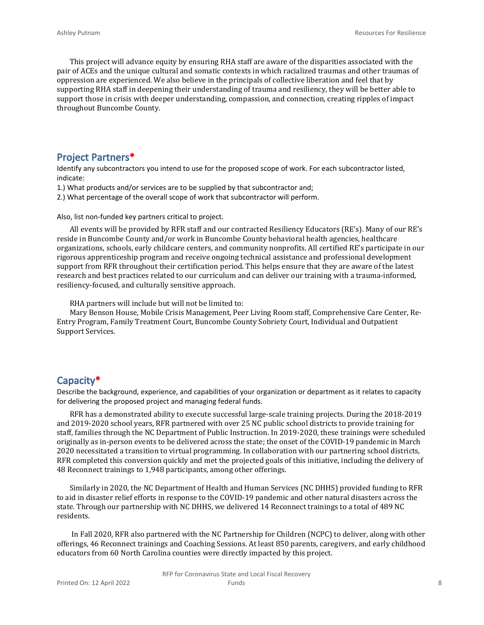This project will advance equity by ensuring RHA staff are aware of the disparities associated with the pair of ACEs and the unique cultural and somatic contexts in which racialized traumas and other traumas of oppression are experienced. We also believe in the principals of collective liberation and feel that by supporting RHA staff in deepening their understanding of trauma and resiliency, they will be better able to support those in crisis with deeper understanding, compassion, and connection, creating ripples of impact throughout Buncombe County.

#### **Project Partners\***

Identify any subcontractors you intend to use for the proposed scope of work. For each subcontractor listed, indicate:

1.) What products and/or services are to be supplied by that subcontractor and;

2.) What percentage of the overall scope of work that subcontractor will perform.

Also, list non-funded key partners critical to project.

All events will be provided by RFR staff and our contracted Resiliency Educators (RE's). Many of our RE's reside in Buncombe County and/or work in Buncombe County behavioral health agencies, healthcare organizations, schools, early childcare centers, and community nonprofits. All certified RE's participate in our rigorous apprenticeship program and receive ongoing technical assistance and professional development support from RFR throughout their certification period. This helps ensure that they are aware of the latest research and best practices related to our curriculum and can deliver our training with a trauma-informed, resiliency-focused, and culturally sensitive approach.

RHA partners will include but will not be limited to:

Mary Benson House, Mobile Crisis Management, Peer Living Room staff, Comprehensive Care Center, Re-Entry Program, Family Treatment Court, Buncombe County Sobriety Court, Individual and Outpatient Support Services.

#### **Capacity\***

Describe the background, experience, and capabilities of your organization or department as it relates to capacity for delivering the proposed project and managing federal funds.

RFR has a demonstrated ability to execute successful large-scale training projects. During the 2018-2019 and 2019-2020 school years, RFR partnered with over 25 NC public school districts to provide training for staff, families through the NC Department of Public Instruction. In 2019-2020, these trainings were scheduled originally as in-person events to be delivered across the state; the onset of the COVID-19 pandemic in March 2020 necessitated a transition to virtual programming. In collaboration with our partnering school districts, RFR completed this conversion quickly and met the projected goals of this initiative, including the delivery of 48 Reconnect trainings to 1,948 participants, among other offerings.

Similarly in 2020, the NC Department of Health and Human Services (NC DHHS) provided funding to RFR to aid in disaster relief efforts in response to the COVID-19 pandemic and other natural disasters across the state. Through our partnership with NC DHHS, we delivered 14 Reconnect trainings to a total of 489 NC residents.

 In Fall 2020, RFR also partnered with the NC Partnership for Children (NCPC) to deliver, along with other offerings, 46 Reconnect trainings and Coaching Sessions. At least 850 parents, caregivers, and early childhood educators from 60 North Carolina counties were directly impacted by this project.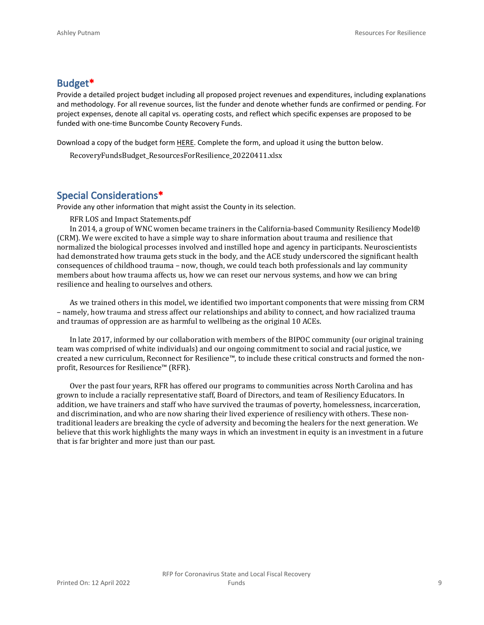#### **Budget\***

Provide a detailed project budget including all proposed project revenues and expenditures, including explanations and methodology. For all revenue sources, list the funder and denote whether funds are confirmed or pending. For project expenses, denote all capital vs. operating costs, and reflect which specific expenses are proposed to be funded with one-time Buncombe County Recovery Funds.

Download a copy of the budget form [HERE](https://buncombecounty.org/common/community-investment/grants/early-childhood-education/Recovery-Funds-budget-template.xlsx). Complete the form, and upload it using the button below.

RecoveryFundsBudget\_ResourcesForResilience\_20220411.xlsx

#### **Special Considerations\***

Provide any other information that might assist the County in its selection.

RFR LOS and Impact Statements.pdf

In 2014, a group of WNC women became trainers in the California-based Community Resiliency Model® (CRM). We were excited to have a simple way to share information about trauma and resilience that normalized the biological processes involved and instilled hope and agency in participants. Neuroscientists had demonstrated how trauma gets stuck in the body, and the ACE study underscored the significant health consequences of childhood trauma – now, though, we could teach both professionals and lay community members about how trauma affects us, how we can reset our nervous systems, and how we can bring resilience and healing to ourselves and others.

As we trained others in this model, we identified two important components that were missing from CRM – namely, how trauma and stress affect our relationships and ability to connect, and how racialized trauma and traumas of oppression are as harmful to wellbeing as the original 10 ACEs.

In late 2017, informed by our collaboration with members of the BIPOC community (our original training team was comprised of white individuals) and our ongoing commitment to social and racial justice, we created a new curriculum, Reconnect for Resilience™, to include these critical constructs and formed the nonprofit, Resources for Resilience™ (RFR).

Over the past four years, RFR has offered our programs to communities across North Carolina and has grown to include a racially representative staff, Board of Directors, and team of Resiliency Educators. In addition, we have trainers and staff who have survived the traumas of poverty, homelessness, incarceration, and discrimination, and who are now sharing their lived experience of resiliency with others. These nontraditional leaders are breaking the cycle of adversity and becoming the healers for the next generation. We believe that this work highlights the many ways in which an investment in equity is an investment in a future that is far brighter and more just than our past.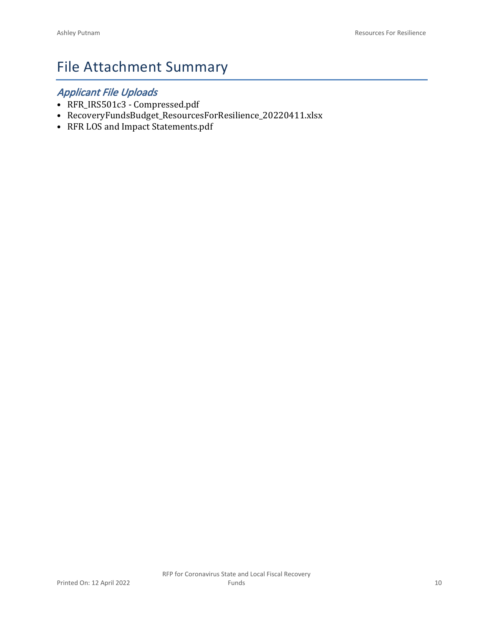# File Attachment Summary

### *Applicant File Uploads*

- RFR\_IRS501c3 Compressed.pdf
- RecoveryFundsBudget\_ResourcesForResilience\_20220411.xlsx
- RFR LOS and Impact Statements.pdf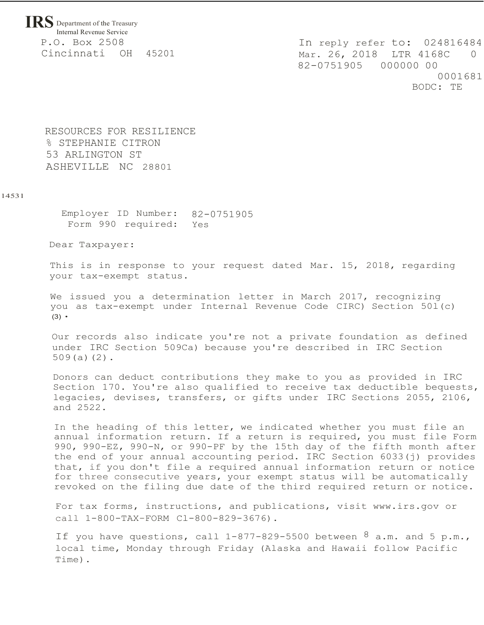**IRS** Department of the Treasury Internal Revenue Service P.O. Box 2508 Cincinnati OH 45201

In reply refer to: 024816484 Mar. 26, 2018 LTR 4168C 0 82-0751905 000000 00 0001681 BODC: TE

RESOURCES FOR RESILIENCE % STEPHANIE CITRON 53 ARLINGTON ST ASHEVILLE NC 28801

#### 14531

Employer ID Number: 82-0751905 Form 990 required: Yes

Dear Taxpayer:

This is in response to your request dated Mar. 15, 2018, regarding your tax-exempt status.

We issued you a determination letter in March 2017, recognizing you as tax-exempt under Internal Revenue Code CIRC) Section 50l(c) (3) •

Our records also indicate you're not a private foundation as defined under IRC Section 509Ca) because you're described in IRC Section 509(a)(2).

Donors can deduct contributions they make to you as provided in IRC Section 170. You're also qualified to receive tax deductible bequests, legacies, devises, transfers, or gifts under IRC Sections 2055, 2106, and 2522.

In the heading of this letter, we indicated whether you must file an annual information return. If a return is required, you must file Form 990, 990-EZ, 990-N, or 990-PF by the 15th day of the fifth month after the end of your annual accounting period. IRC Section 6033(j) provides that, if you don't file a required annual information return or notice for three consecutive years, your exempt status will be automatically revoked on the filing due date of the third required return or notice.

For tax forms, instructions, and publications, visit [www.irs.gov o](http://www.irs.gov/)r call 1-800-TAX-FORM Cl-800-829-3676).

If you have questions, call  $1-877-829-5500$  between  $8$  a.m. and 5 p.m., local time, Monday through Friday (Alaska and Hawaii follow Pacific Time).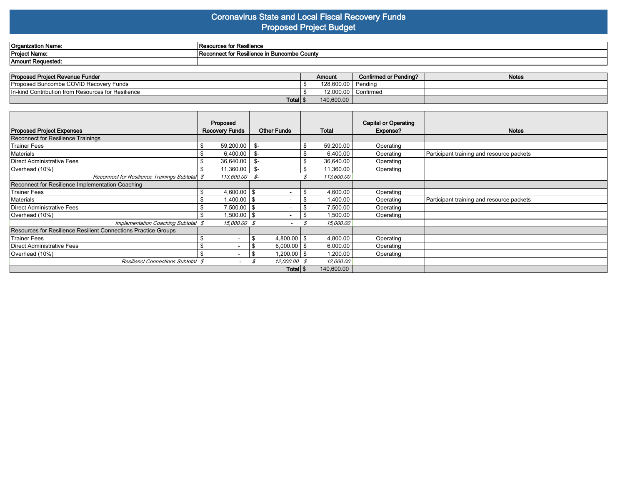#### **Coronavirus State and Local Fiscal Recovery Funds Proposed Project Budget**

| Organization Name:        | sources for Resilience<br>⊪rkeso i                  |
|---------------------------|-----------------------------------------------------|
| Project Name.             | connect for Resilience in Buncombe County.<br>ו השנ |
| . .<br>'Amount Requesteo. |                                                     |

| <b>Proposed Project Revenue Funder</b>             | Amount                | <b>Confirmed or Pending?</b> | <b>Notes</b> |
|----------------------------------------------------|-----------------------|------------------------------|--------------|
| <b>Proposed Buncombe COVID Recovery Funds</b>      | 128.600.00            | ` ' Pendina                  |              |
| In-kind Contribution from Resources for Resilience | 12.000.00   Confirmed |                              |              |
| Total   \$                                         | 140,600.00            |                              |              |

|                                                                | Proposed              |                              |                | <b>Capital or Operating</b> |                                           |
|----------------------------------------------------------------|-----------------------|------------------------------|----------------|-----------------------------|-------------------------------------------|
| <b>Proposed Project Expenses</b>                               | <b>Recovery Funds</b> | <b>Other Funds</b>           | <b>Total</b>   | Expense?                    | <b>Notes</b>                              |
| Reconnect for Resilience Trainings                             |                       |                              |                |                             |                                           |
| <b>Trainer Fees</b>                                            | 59,200.00             | \$-                          | 59,200.00      | Operating                   |                                           |
| Materials                                                      | 6,400.00              | - \$                         | 6,400.00       | Operating                   | Participant training and resource packets |
| Direct Administrative Fees                                     | 36,640.00             | - \$                         | 36,640.00      | Operating                   |                                           |
| Overhead (10%)                                                 | $11,360.00$ \$-       |                              | 11,360.00      | Operating                   |                                           |
| Reconnect for Resilience Trainings Subtotal \$                 | 113,600.00 \$-        |                              | 113,600.00     |                             |                                           |
| Reconnect for Resilience Implementation Coaching               |                       |                              |                |                             |                                           |
| <b>Trainer Fees</b>                                            | $4,600.00$ \ \$       |                              | 4,600.00       | Operating                   |                                           |
| Materials                                                      | $1,400.00$ \\$        | ۰.                           | 1,400.00       | Operating                   | Participant training and resource packets |
| Direct Administrative Fees                                     | $7,500.00$ \\$        | -                            | \$<br>7,500.00 | Operating                   |                                           |
| Overhead (10%)                                                 | $1,500.00$ \\$<br>\$  | ۰.                           | 1,500.00<br>\$ | Operating                   |                                           |
| Implementation Coaching Subtotal \$                            | 15,000.00 \$          |                              | 15,000.00      |                             |                                           |
| Resources for Resilience Resilient Connections Practice Groups |                       |                              |                |                             |                                           |
| Trainer Fees                                                   |                       | 4,800.00 $\frac{1}{3}$<br>\$ | 4,800.00       | Operating                   |                                           |
| Direct Administrative Fees                                     |                       | $6,000.00$   \$              | 6,000.00       | Operating                   |                                           |
| Overhead (10%)                                                 |                       | 1,200.00   \$<br>\$          | 1,200.00       | Operating                   |                                           |
| Resilienct Connections Subtotal \$                             |                       | 12,000.00 \$                 | 12,000.00      |                             |                                           |
|                                                                |                       | Total $\frac{1}{3}$          | 140,600.00     |                             |                                           |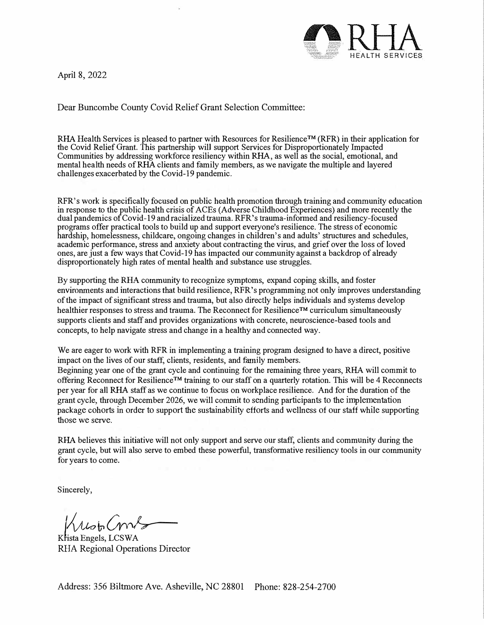April 8, 2022



Dear Buncombe County Covid Relief Grant Selection Committee:

RHA Health Services is pleased to partner with Resources for Resilience™ (RFR) in their application for the Covid Relief Grant. This partnership will support Services for Disproportionately Impacted Communities by addressing workforce resiliency within RHA, as well as the social, emotional, and mental health needs ofRHA clients and family members, as we navigate the multiple and layered challenges exacerbated by the Covid-19 pandemic.

RFR's work is specifically focused on public health promotion through training and community education in response to the public health crisis of ACEs (Adverse Childhood Experiences) and more recently the dual pandemics ofCovid-19 and racialized trauma. RFR's trauma-informed and resiliency-focused programs offer practical tools to build up and support everyone's resilience. The stress ofeconomic hardship, homelessness, childcare, ongoing changes in children's and adults' structures and schedules, academic performance, stress and anxiety about contracting the virus, and griefover the loss of loved ones, are just a few ways that Covid-19 has impacted our community against a backdrop of already disproportionately high rates of mental health and substance use struggles.

By supporting the RHA community to recognize symptoms, expand coping skills, and foster enviromnents and interactions that build resilience, RFR's programming not only improves understanding of the impact of significant stress and trauma, but also directly helps individuals and systems develop healthier responses to stress and trauma. The Reconnect for Resilience™ curriculum simultaneously supports clients and staff and provides organizations with concrete, neuroscience-based tools and concepts, to help navigate stress and change in a healthy and connected way.

We are eager to work with RFR in implementing a training program designed to have a direct, positive impact on the lives of our staff, clients, residents, and family members. Beginning year one of the grant cycle and continuing for the remaining three years, RHA will commit to offering Reconnect for Resilience™ training to our staff on a quarterly rotation. This will be 4 Reconnects per year for all RHA staff as we continue to focus on workplace resilience. And for the duration of the grant cycle, through December 2026, we will cmmnit to sending participants to the implementation package cohorts in order to support the sustainability efforts and wellness of our staff while supporting those we serve.

RHA believes this initiative will not only support and serve our staff, clients and community during the grant cycle, but will also serve to embed these powerful, transformative resiliency tools in our community for years to come.

Sincerely,

Krist Comb

Krista Engels, LCSW A RHA Regional Operations Director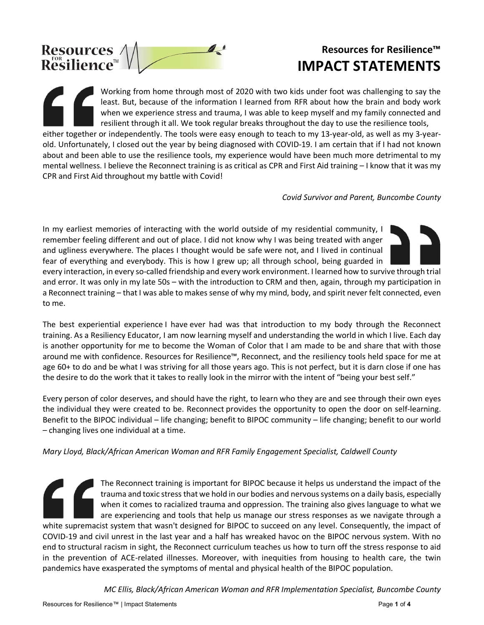

## **Resources for Resilience™ IMPACT STATEMENTS**

Working from home through most of 2020 with two kids under foot was challenging to say the least. But, because of the information I learned from RFR about how the brain and body work when we experience stress and trauma, I was able to keep myself and my family connected and resilient through it all. We took regular breaks throughout the day to use the resilience tools, either together or independently. The tools were easy enough to teach to my 13-year-old, as well as my 3-yearold. Unfortunately, I closed out the year by being diagnosed with COVID-19. I am certain that if I had not known

about and been able to use the resilience tools, my experience would have been much more detrimental to my mental wellness. I believe the Reconnect training is as critical as CPR and First Aid training – I know that it was my CPR and First Aid throughout my battle with Covid!

*Covid Survivor and Parent, Buncombe County*

In my earliest memories of interacting with the world outside of my residential community, I remember feeling different and out of place. I did not know why I was being treated with anger and ugliness everywhere. The places I thought would be safe were not, and I lived in continual fear of everything and everybody. This is how I grew up; all through school, being guarded in



every interaction, in every so-called friendship and every work environment. I learned how to survive through trial and error. It was only in my late 50s – with the introduction to CRM and then, again, through my participation in a Reconnect training – that I was able to makes sense of why my mind, body, and spirit never felt connected, even to me.  

The best experiential experience I have ever had was that introduction to my body through the Reconnect training. As a Resiliency Educator, I am now learning myself and understanding the world in which I live. Each day is another opportunity for me to become the Woman of Color that I am made to be and share that with those around me with confidence. Resources for Resilience™, Reconnect, and the resiliency tools held space for me at age 60+ to do and be what I was striving for all those years ago. This is not perfect, but it is darn close if one has the desire to do the work that it takes to really look in the mirror with the intent of "being your best self."  

Every person of color deserves, and should have the right, to learn who they are and see through their own eyes the individual they were created to be. Reconnect provides the opportunity to open the door on self-learning. Benefit to the BIPOC individual – life changing; benefit to BIPOC community – life changing; benefit to our world – changing lives one individual at a time. 

*Mary Lloyd, Black/African American Woman and RFR Family Engagement Specialist, Caldwell County* 

The Reconnect training is important for BIPOC because it helps us understand the impact of the trauma and toxic stress that we hold in our bodies and nervous systems on a daily basis, especially when it comes to racialized trauma and oppression. The training also gives language to what we are experiencing and tools that help us manage our stress responses as we navigate through a white supremacist system that wasn't designed for BIPOC to succeed on any level. Consequently, the impact of COVID-19 and civil unrest in the last year and a half has wreaked havoc on the BIPOC nervous system. With no end to structural racism in sight, the Reconnect curriculum teaches us how to turn off the stress response to aid in the prevention of ACE-related illnesses. Moreover, with inequities from housing to health care, the twin pandemics have exasperated the symptoms of mental and physical health of the BIPOC population.

*MC Ellis, Black/African American Woman and RFR Implementation Specialist, Buncombe County*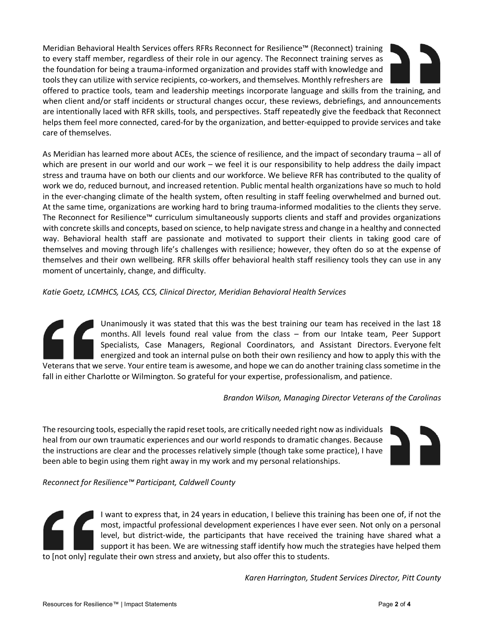Meridian Behavioral Health Services offers RFRs Reconnect for Resilience™ (Reconnect) training to every staff member, regardless of their role in our agency. The Reconnect training serves as the foundation for being a trauma-informed organization and provides staff with knowledge and tools they can utilize with service recipients, co-workers, and themselves. Monthly refreshers are



offered to practice tools, team and leadership meetings incorporate language and skills from the training, and when client and/or staff incidents or structural changes occur, these reviews, debriefings, and announcements are intentionally laced with RFR skills, tools, and perspectives. Staff repeatedly give the feedback that Reconnect helps them feel more connected, cared-for by the organization, and better-equipped to provide services and take care of themselves.

As Meridian has learned more about ACEs, the science of resilience, and the impact of secondary trauma – all of which are present in our world and our work – we feel it is our responsibility to help address the daily impact stress and trauma have on both our clients and our workforce. We believe RFR has contributed to the quality of work we do, reduced burnout, and increased retention. Public mental health organizations have so much to hold in the ever-changing climate of the health system, often resulting in staff feeling overwhelmed and burned out. At the same time, organizations are working hard to bring trauma-informed modalities to the clients they serve. The Reconnect for Resilience™ curriculum simultaneously supports clients and staff and provides organizations with concrete skills and concepts, based on science, to help navigate stress and change in a healthy and connected way. Behavioral health staff are passionate and motivated to support their clients in taking good care of themselves and moving through life's challenges with resilience; however, they often do so at the expense of themselves and their own wellbeing. RFR skills offer behavioral health staff resiliency tools they can use in any moment of uncertainly, change, and difficulty.

*Katie Goetz, LCMHCS, LCAS, CCS, Clinical Director, Meridian Behavioral Health Services* 

Unanimously it was stated that this was the best training our team has received in the last 18 months. All levels found real value from the class – from our Intake team, Peer Support Specialists, Case Managers, Regional Coordinators, and Assistant Directors. Everyone felt energized and took an internal pulse on both their own resiliency and how to apply this with the Veterans that we serve. Your entire team is awesome, and hope we can do another training class sometime in the

fall in either Charlotte or Wilmington. So grateful for your expertise, professionalism, and patience.

*Brandon Wilson, Managing Director Veterans of the Carolinas*

The resourcing tools, especially the rapid reset tools, are critically needed right now as individuals heal from our own traumatic experiences and our world responds to dramatic changes. Because the instructions are clear and the processes relatively simple (though take some practice), I have been able to begin using them right away in my work and my personal relationships.



*Reconnect for Resilience™ Participant, Caldwell County* 

I want to express that, in 24 years in education, I believe this training has been one of, if not the most, impactful professional development experiences I have ever seen. Not only on a personal level, but district-wide, the participants that have received the training have shared what a support it has been. We are witnessing staff identify how much the strategies have helped them to [not only] regulate their own stress and anxiety, but also offer this to students.

*Karen Harrington, Student Services Director, Pitt County*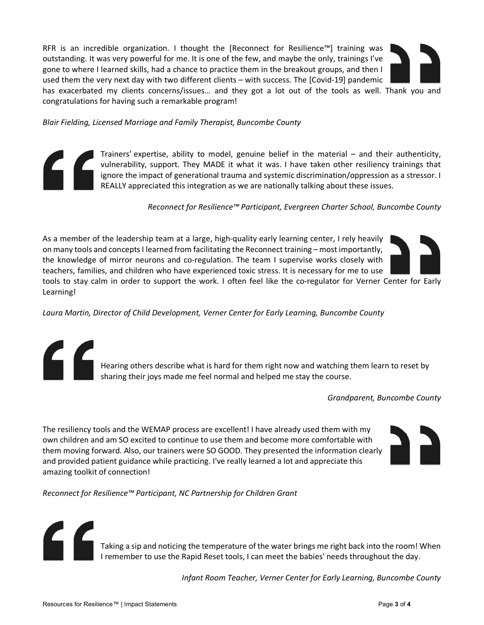RFR is an incredible organization. I thought the [Reconnect for Resilience™] training was outstanding. It was very powerful for me. It is one of the few, and maybe the only, trainings I've gone to where I learned skills, had a chance to practice them in the breakout groups, and then I used them the very next day with two different clients – with success. The [Covid-19] pandemic

has exacerbated my clients concerns/issues… and they got a lot out of the tools as well. Thank you and congratulations for having such a remarkable program!

*Blair Fielding, Licensed Marriage and Family Therapist, Buncombe County*

Trainers' expertise, ability to model, genuine belief in the material – and their authenticity, vulnerability, support. They MADE it what it was. I have taken other resiliency trainings that ignore the impact of generational trauma and systemic discrimination/oppression as a stressor. I REALLY appreciated this integration as we are nationally talking about these issues.

*Reconnect for Resilience™ Participant, Evergreen Charter School, Buncombe County*

As a member of the leadership team at a large, high-quality early learning center, I rely heavily on many tools and concepts I learned from facilitating the Reconnect training – most importantly, the knowledge of mirror neurons and co-regulation. The team I supervise works closely with teachers, families, and children who have experienced toxic stress. It is necessary for me to use tools to stay calm in order to support the work. I often feel like the co-regulator for Verner Center for Early

Learning!

*Laura Martin, Director of Child Development, Verner Center for Early Learning, Buncombe County*

Hearing others describe what is hard for them right now and watching them learn to reset by sharing their joys made me feel normal and helped me stay the course.

*Grandparent, Buncombe County*

The resiliency tools and the WEMAP process are excellent! I have already used them with my own children and am SO excited to continue to use them and become more comfortable with them moving forward. Also, our trainers were SO GOOD. They presented the information clearly and provided patient guidance while practicing. I've really learned a lot and appreciate this amazing toolkit of connection!



*Reconnect for Resilience™ Participant, NC Partnership for Children Grant* 



Taking a sip and noticing the temperature of the water brings me right back into the room! When I remember to use the Rapid Reset tools, I can meet the babies' needs throughout the day.

*Infant Room Teacher, Verner Center for Early Learning, Buncombe County*